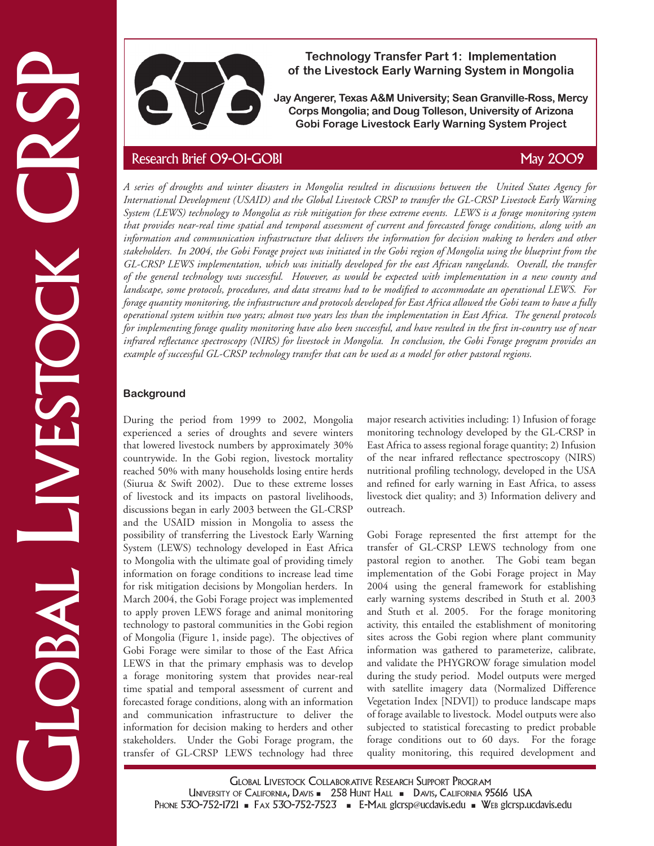

**Technology Transfer Part 1: Implementation of the Livestock Early Warning System in Mongolia** 

**Jay Angerer, Texas A&M University; Sean Granville-Ross, Mercy Corps Mongolia; and Doug Tolleson, University of Arizona Gobi Forage Livestock Early Warning System Project**

Technology Transfer Part 1: Implementation<br>
of the Livestock Carly Warning System in Mongolia<br>
Jay Angerer, Texas ASM University; Sean Granville-Ross, Mercon Research<br>
Contrasting Corollars and Doug Tellesson, University *A series of droughts and winter disasters in Mongolia resulted in discussions between the United States Agency for International Development (USAID) and the Global Livestock CRSP to transfer the GL-CRSP Livestock Early Warning System (LEWS) technology to Mongolia as risk mitigation for these extreme events. LEWS is a forage monitoring system that provides near-real time spatial and temporal assessment of current and forecasted forage conditions, along with an information and communication infrastructure that delivers the information for decision making to herders and other stakeholders. In 2004, the Gobi Forage project was initiated in the Gobi region of Mongolia using the blueprint from the GL-CRSP LEWS implementation, which was initially developed for the east African rangelands. Overall, the transfer of the general technology was successful. However, as would be expected with implementation in a new county and landscape, some protocols, procedures, and data streams had to be modified to accommodate an operational LEWS. For forage quantity monitoring, the infrastructure and protocols developed for East Africa allowed the Gobi team to have a fully operational system within two years; almost two years less than the implementation in East Africa. The general protocols for implementing forage quality monitoring have also been successful, and have resulted in the first in-country use of near infrared reflectance spectroscopy (NIRS) for livestock in Mongolia. In conclusion, the Gobi Forage program provides an example of successful GL-CRSP technology transfer that can be used as a model for other pastoral regions.*

# **Background**

During the period from 1999 to 2002, Mongolia experienced a series of droughts and severe winters that lowered livestock numbers by approximately 30% countrywide. In the Gobi region, livestock mortality reached 50% with many households losing entire herds (Siurua & Swift 2002). Due to these extreme losses of livestock and its impacts on pastoral livelihoods, discussions began in early 2003 between the GL-CRSP and the USAID mission in Mongolia to assess the possibility of transferring the Livestock Early Warning System (LEWS) technology developed in East Africa to Mongolia with the ultimate goal of providing timely information on forage conditions to increase lead time for risk mitigation decisions by Mongolian herders. In March 2004, the Gobi Forage project was implemented to apply proven LEWS forage and animal monitoring technology to pastoral communities in the Gobi region of Mongolia (Figure 1, inside page). The objectives of Gobi Forage were similar to those of the East Africa LEWS in that the primary emphasis was to develop a forage monitoring system that provides near-real time spatial and temporal assessment of current and forecasted forage conditions, along with an information and communication infrastructure to deliver the information for decision making to herders and other stakeholders. Under the Gobi Forage program, the transfer of GL-CRSP LEWS technology had three

major research activities including: 1) Infusion of forage monitoring technology developed by the GL-CRSP in East Africa to assess regional forage quantity; 2) Infusion of the near infrared reflectance spectroscopy (NIRS) nutritional profiling technology, developed in the USA and refined for early warning in East Africa, to assess livestock diet quality; and 3) Information delivery and outreach.

Gobi Forage represented the first attempt for the transfer of GL-CRSP LEWS technology from one pastoral region to another. The Gobi team began implementation of the Gobi Forage project in May 2004 using the general framework for establishing early warning systems described in Stuth et al. 2003 and Stuth et al. 2005. For the forage monitoring activity, this entailed the establishment of monitoring sites across the Gobi region where plant community information was gathered to parameterize, calibrate, and validate the PHYGROW forage simulation model during the study period. Model outputs were merged with satellite imagery data (Normalized Difference Vegetation Index [NDVI]) to produce landscape maps of forage available to livestock. Model outputs were also subjected to statistical forecasting to predict probable forage conditions out to 60 days. For the forage quality monitoring, this required development and

Global Livestock Collaborative Research Support Program UNIVERSITY OF CALIFORNIA, DAVIS - 258 HUNT HALL - DAVIS, CALIFORNIA 95616 USA PHONE 530-752-1721 • FAX 530-752-7523 • E-MAIL glcrsp@ucdavis.edu • WEB glcrsp.ucdavis.edu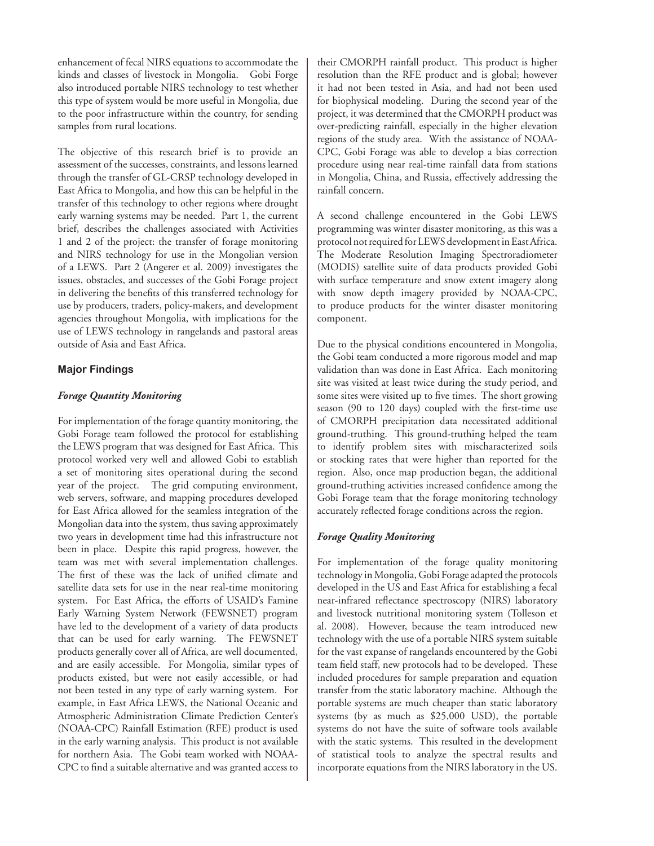enhancement of fecal NIRS equations to accommodate the kinds and classes of livestock in Mongolia. Gobi Forge also introduced portable NIRS technology to test whether this type of system would be more useful in Mongolia, due to the poor infrastructure within the country, for sending samples from rural locations.

The objective of this research brief is to provide an assessment of the successes, constraints, and lessons learned through the transfer of GL-CRSP technology developed in East Africa to Mongolia, and how this can be helpful in the transfer of this technology to other regions where drought early warning systems may be needed. Part 1, the current brief, describes the challenges associated with Activities 1 and 2 of the project: the transfer of forage monitoring and NIRS technology for use in the Mongolian version of a LEWS. Part 2 (Angerer et al. 2009) investigates the issues, obstacles, and successes of the Gobi Forage project in delivering the benefits of this transferred technology for use by producers, traders, policy-makers, and development agencies throughout Mongolia, with implications for the use of LEWS technology in rangelands and pastoral areas outside of Asia and East Africa.

### **Major Findings**

### *Forage Quantity Monitoring*

For implementation of the forage quantity monitoring, the Gobi Forage team followed the protocol for establishing the LEWS program that was designed for East Africa. This protocol worked very well and allowed Gobi to establish a set of monitoring sites operational during the second year of the project. The grid computing environment, web servers, software, and mapping procedures developed for East Africa allowed for the seamless integration of the Mongolian data into the system, thus saving approximately two years in development time had this infrastructure not been in place. Despite this rapid progress, however, the team was met with several implementation challenges. The first of these was the lack of unified climate and satellite data sets for use in the near real-time monitoring system. For East Africa, the efforts of USAID's Famine Early Warning System Network (FEWSNET) program have led to the development of a variety of data products that can be used for early warning. The FEWSNET products generally cover all of Africa, are well documented, and are easily accessible. For Mongolia, similar types of products existed, but were not easily accessible, or had not been tested in any type of early warning system. For example, in East Africa LEWS, the National Oceanic and Atmospheric Administration Climate Prediction Center's (NOAA-CPC) Rainfall Estimation (RFE) product is used in the early warning analysis. This product is not available for northern Asia. The Gobi team worked with NOAA-CPC to find a suitable alternative and was granted access to

their CMORPH rainfall product. This product is higher resolution than the RFE product and is global; however it had not been tested in Asia, and had not been used for biophysical modeling. During the second year of the project, it was determined that the CMORPH product was over-predicting rainfall, especially in the higher elevation regions of the study area. With the assistance of NOAA-CPC, Gobi Forage was able to develop a bias correction procedure using near real-time rainfall data from stations in Mongolia, China, and Russia, effectively addressing the rainfall concern.

A second challenge encountered in the Gobi LEWS programming was winter disaster monitoring, as this was a protocol not required for LEWS development in East Africa. The Moderate Resolution Imaging Spectroradiometer (MODIS) satellite suite of data products provided Gobi with surface temperature and snow extent imagery along with snow depth imagery provided by NOAA-CPC, to produce products for the winter disaster monitoring component.

Due to the physical conditions encountered in Mongolia, the Gobi team conducted a more rigorous model and map validation than was done in East Africa. Each monitoring site was visited at least twice during the study period, and some sites were visited up to five times. The short growing season (90 to 120 days) coupled with the first-time use of CMORPH precipitation data necessitated additional ground-truthing. This ground-truthing helped the team to identify problem sites with mischaracterized soils or stocking rates that were higher than reported for the region. Also, once map production began, the additional ground-truthing activities increased confidence among the Gobi Forage team that the forage monitoring technology accurately reflected forage conditions across the region.

### *Forage Quality Monitoring*

For implementation of the forage quality monitoring technology in Mongolia, Gobi Forage adapted the protocols developed in the US and East Africa for establishing a fecal near-infrared reflectance spectroscopy (NIRS) laboratory and livestock nutritional monitoring system (Tolleson et al. 2008). However, because the team introduced new technology with the use of a portable NIRS system suitable for the vast expanse of rangelands encountered by the Gobi team field staff, new protocols had to be developed. These included procedures for sample preparation and equation transfer from the static laboratory machine. Although the portable systems are much cheaper than static laboratory systems (by as much as \$25,000 USD), the portable systems do not have the suite of software tools available with the static systems. This resulted in the development of statistical tools to analyze the spectral results and incorporate equations from the NIRS laboratory in the US.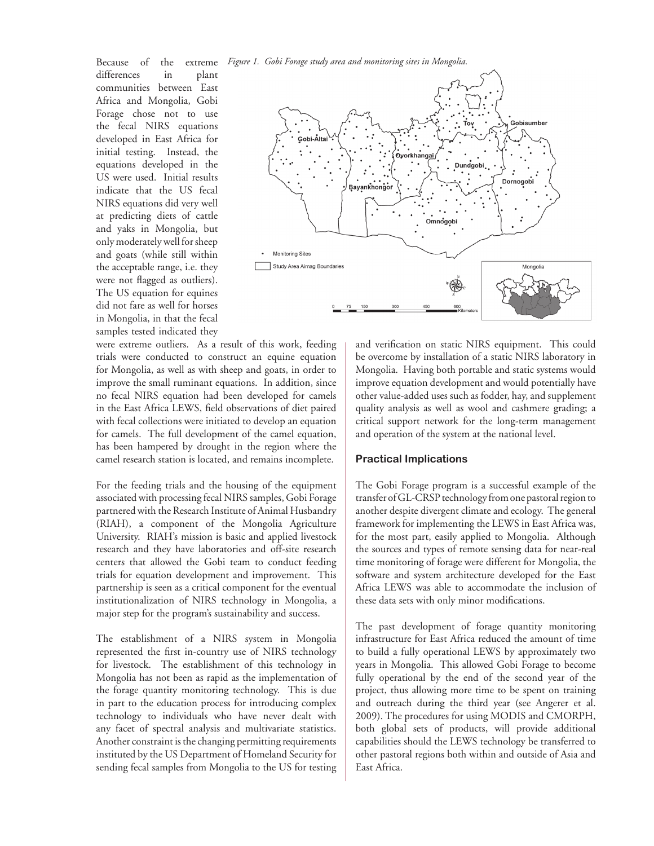*Figure 1. Gobi Forage study area and monitoring sites in Mongolia.* 

Because of the extreme differences in plant communities between East Africa and Mongolia, Gobi Forage chose not to use the fecal NIRS equations developed in East Africa for initial testing. Instead, the equations developed in the US were used. Initial results indicate that the US fecal NIRS equations did very well at predicting diets of cattle and yaks in Mongolia, but only moderately well for sheep and goats (while still within the acceptable range, i.e. they were not flagged as outliers). The US equation for equines did not fare as well for horses in Mongolia, in that the fecal samples tested indicated they



were extreme outliers. As a result of this work, feeding trials were conducted to construct an equine equation for Mongolia, as well as with sheep and goats, in order to improve the small ruminant equations. In addition, since no fecal NIRS equation had been developed for camels in the East Africa LEWS, field observations of diet paired with fecal collections were initiated to develop an equation for camels. The full development of the camel equation, has been hampered by drought in the region where the camel research station is located, and remains incomplete.

For the feeding trials and the housing of the equipment associated with processing fecal NIRS samples, Gobi Forage partnered with the Research Institute of Animal Husbandry (RIAH), a component of the Mongolia Agriculture University. RIAH's mission is basic and applied livestock research and they have laboratories and off-site research centers that allowed the Gobi team to conduct feeding trials for equation development and improvement. This partnership is seen as a critical component for the eventual institutionalization of NIRS technology in Mongolia, a major step for the program's sustainability and success.

The establishment of a NIRS system in Mongolia represented the first in-country use of NIRS technology for livestock. The establishment of this technology in Mongolia has not been as rapid as the implementation of the forage quantity monitoring technology. This is due in part to the education process for introducing complex technology to individuals who have never dealt with any facet of spectral analysis and multivariate statistics. Another constraint is the changing permitting requirements instituted by the US Department of Homeland Security for sending fecal samples from Mongolia to the US for testing and verification on static NIRS equipment. This could be overcome by installation of a static NIRS laboratory in Mongolia. Having both portable and static systems would improve equation development and would potentially have other value-added uses such as fodder, hay, and supplement quality analysis as well as wool and cashmere grading; a critical support network for the long-term management and operation of the system at the national level.

### **Practical Implications**

The Gobi Forage program is a successful example of the transfer of GL-CRSP technology from one pastoral region to another despite divergent climate and ecology. The general framework for implementing the LEWS in East Africa was, for the most part, easily applied to Mongolia. Although the sources and types of remote sensing data for near-real time monitoring of forage were different for Mongolia, the software and system architecture developed for the East Africa LEWS was able to accommodate the inclusion of these data sets with only minor modifications.

The past development of forage quantity monitoring infrastructure for East Africa reduced the amount of time to build a fully operational LEWS by approximately two years in Mongolia. This allowed Gobi Forage to become fully operational by the end of the second year of the project, thus allowing more time to be spent on training and outreach during the third year (see Angerer et al. 2009). The procedures for using MODIS and CMORPH, both global sets of products, will provide additional capabilities should the LEWS technology be transferred to other pastoral regions both within and outside of Asia and East Africa.